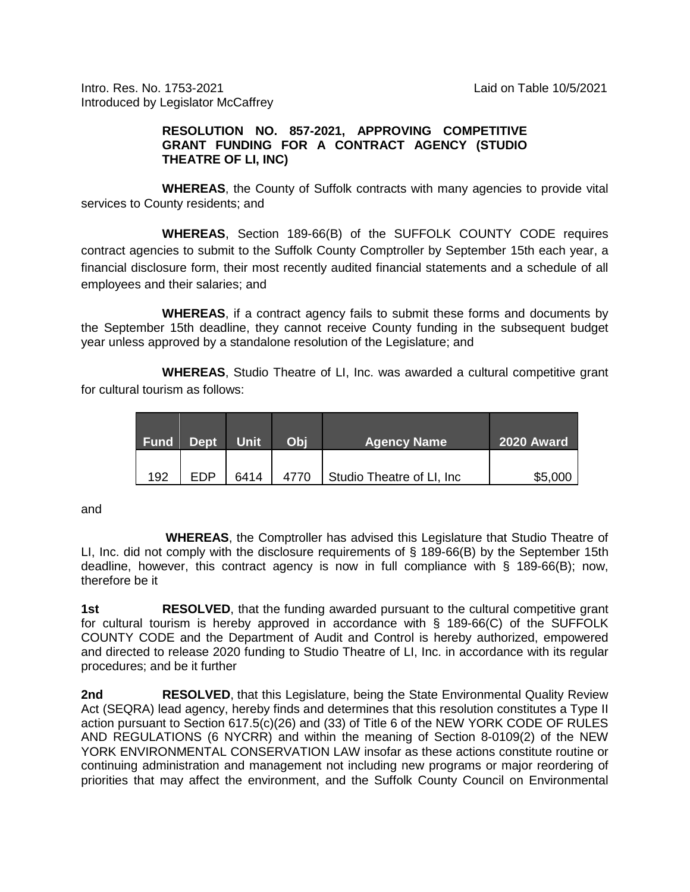Intro. Res. No. 1753-2021 Laid on Table 10/5/2021 Introduced by Legislator McCaffrey

## **RESOLUTION NO. 857-2021, APPROVING COMPETITIVE GRANT FUNDING FOR A CONTRACT AGENCY (STUDIO THEATRE OF LI, INC)**

**WHEREAS**, the County of Suffolk contracts with many agencies to provide vital services to County residents; and

**WHEREAS**, Section 189-66(B) of the SUFFOLK COUNTY CODE requires contract agencies to submit to the Suffolk County Comptroller by September 15th each year, a financial disclosure form, their most recently audited financial statements and a schedule of all employees and their salaries; and

**WHEREAS**, if a contract agency fails to submit these forms and documents by the September 15th deadline, they cannot receive County funding in the subsequent budget year unless approved by a standalone resolution of the Legislature; and

**WHEREAS**, Studio Theatre of LI, Inc. was awarded a cultural competitive grant for cultural tourism as follows:

| <b>Fund</b> | <b>Dept</b> | Unit | Obi | <b>Agency Name</b>         | 2020 Award |
|-------------|-------------|------|-----|----------------------------|------------|
| 192         | FDP         | 6414 |     | Studio Theatre of LI, Inc. | \$5,000    |

and

**WHEREAS**, the Comptroller has advised this Legislature that Studio Theatre of LI, Inc. did not comply with the disclosure requirements of § 189-66(B) by the September 15th deadline, however, this contract agency is now in full compliance with § 189-66(B); now, therefore be it

**1st RESOLVED**, that the funding awarded pursuant to the cultural competitive grant for cultural tourism is hereby approved in accordance with § 189-66(C) of the SUFFOLK COUNTY CODE and the Department of Audit and Control is hereby authorized, empowered and directed to release 2020 funding to Studio Theatre of LI, Inc. in accordance with its regular procedures; and be it further

**2nd RESOLVED**, that this Legislature, being the State Environmental Quality Review Act (SEQRA) lead agency, hereby finds and determines that this resolution constitutes a Type II action pursuant to Section 617.5(c)(26) and (33) of Title 6 of the NEW YORK CODE OF RULES AND REGULATIONS (6 NYCRR) and within the meaning of Section 8-0109(2) of the NEW YORK ENVIRONMENTAL CONSERVATION LAW insofar as these actions constitute routine or continuing administration and management not including new programs or major reordering of priorities that may affect the environment, and the Suffolk County Council on Environmental